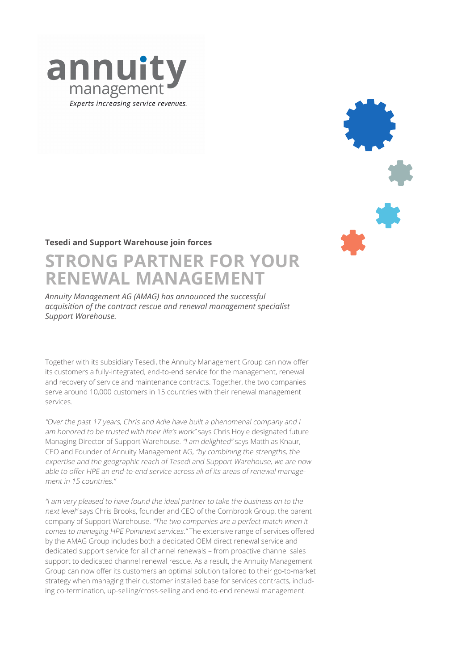

## **Tesedi and Support Warehouse join forces**

# **STRONG PARTNER FOR YOUR RENEWAL MANAGEMENT**

*Annuity Management AG (AMAG) has announced the successful acquisition of the contract rescue and renewal management specialist Support Warehouse.* 

Together with its subsidiary Tesedi, the Annuity Management Group can now offer its customers a fully-integrated, end-to-end service for the management, renewal and recovery of service and maintenance contracts. Together, the two companies serve around 10,000 customers in 15 countries with their renewal management services.

"Over the past 17 years, Chris and Adie have built a phenomenal company and I am honored to be trusted with their life's work" says Chris Hoyle designated future Managing Director of Support Warehouse. "I am delighted" says Matthias Knaur, CEO and Founder of Annuity Management AG, "by combining the strengths, the expertise and the geographic reach of Tesedi and Support Warehouse, we are now able to offer HPE an end-to-end service across all of its areas of renewal management in 15 countries."

"I am very pleased to have found the ideal partner to take the business on to the next level" says Chris Brooks, founder and CEO of the Cornbrook Group, the parent company of Support Warehouse. "The two companies are a perfect match when it comes to managing HPE Pointnext services." The extensive range of services offered by the AMAG Group includes both a dedicated OEM direct renewal service and dedicated support service for all channel renewals – from proactive channel sales support to dedicated channel renewal rescue. As a result, the Annuity Management Group can now offer its customers an optimal solution tailored to their go-to-market strategy when managing their customer installed base for services contracts, including co-termination, up-selling/cross-selling and end-to-end renewal management.